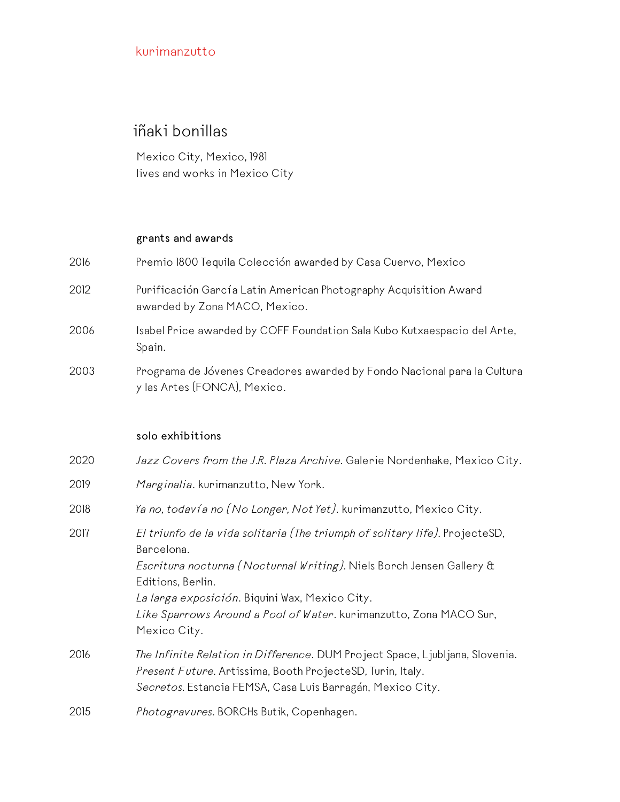# iñaki bonillas

Mexico City, Mexico, 1981 lives and works in Mexico City

#### **grants and awards**

| 2016 | Premio 1800 Tequila Colección awarded by Casa Cuervo, Mexico                                            |
|------|---------------------------------------------------------------------------------------------------------|
| 2012 | Purificación García Latin American Photography Acquisition Award<br>awarded by Zona MACO, Mexico.       |
| 2006 | Isabel Price awarded by COFF Foundation Sala Kubo Kutxaespacio del Arte,<br>Spain.                      |
| 2003 | Programa de Jóvenes Creadores awarded by Fondo Nacional para la Cultura<br>y las Artes (FONCA), Mexico. |

#### **solo exhibitions**

| 2020 | Jazz Covers from the J.R. Plaza Archive. Galerie Nordenhake, Mexico City.                                                                                                                                                                                                                                                      |
|------|--------------------------------------------------------------------------------------------------------------------------------------------------------------------------------------------------------------------------------------------------------------------------------------------------------------------------------|
| 2019 | Marginalia. kurimanzutto, New York.                                                                                                                                                                                                                                                                                            |
| 2018 | Ya no, todavía no (No Longer, Not Yet). kurimanzutto, Mexico City.                                                                                                                                                                                                                                                             |
| 2017 | El triunfo de la vida solitaria (The triumph of solitary life). ProjecteSD,<br>Barcelona.<br>Escritura nocturna (Nocturnal Writing). Niels Borch Jensen Gallery &<br>Editions, Berlin.<br>La larga exposición. Biquini Wax, Mexico City.<br>Like Sparrows Around a Pool of Water. kurimanzutto, Zona MACO Sur,<br>Mexico City. |
| 2016 | <i>The Infinite Relation in Difference.</i> DUM Project Space, Ljubljana, Slovenia.<br>Present Future. Artissima, Booth ProjecteSD, Turin, Italy.<br>Secretos. Estancia FEMSA, Casa Luis Barragán, Mexico City.                                                                                                                |
| 2015 | Photogravures. BORCHs Butik, Copenhagen.                                                                                                                                                                                                                                                                                       |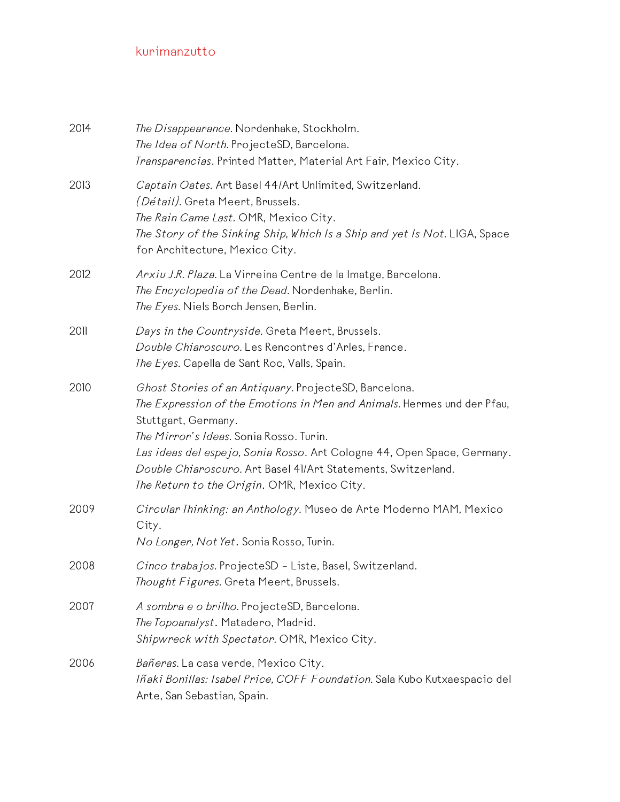| 2014 | The Disappearance. Nordenhake, Stockholm.<br>The Idea of North. ProjecteSD, Barcelona.<br>Transparencias. Printed Matter, Material Art Fair, Mexico City.                                                                                                                                                                                                                                     |
|------|-----------------------------------------------------------------------------------------------------------------------------------------------------------------------------------------------------------------------------------------------------------------------------------------------------------------------------------------------------------------------------------------------|
| 2013 | Captain Oates. Art Basel 44/Art Unlimited, Switzerland.<br><i>(Détail)</i> . Greta Meert, Brussels.<br>The Rain Came Last. OMR, Mexico City.<br>The Story of the Sinking Ship, Which Is a Ship and yet Is Not. LIGA, Space<br>for Architecture, Mexico City.                                                                                                                                  |
| 2012 | Arxiu J.R. Plaza. La Virreina Centre de la Imatge, Barcelona.<br>The Encyclopedia of the Dead. Nordenhake, Berlin.<br>The Eyes. Niels Borch Jensen, Berlin.                                                                                                                                                                                                                                   |
| 2011 | Days in the Countryside. Greta Meert, Brussels.<br>Double Chiaroscuro. Les Rencontres d'Arles, France.<br>The Eyes. Capella de Sant Roc, Valls, Spain.                                                                                                                                                                                                                                        |
| 2010 | Ghost Stories of an Antiquary. ProjecteSD, Barcelona.<br>The Expression of the Emotions in Men and Animals. Hermes und der Pfau,<br>Stuttgart, Germany.<br>The Mirror's Ideas. Sonia Rosso. Turin.<br>Las ideas del espejo, Sonia Rosso. Art Cologne 44, Open Space, Germany.<br>Double Chiaroscuro. Art Basel 41/Art Statements, Switzerland.<br>The Return to the Origin. OMR, Mexico City. |
| 2009 | Circular Thinking: an Anthology. Museo de Arte Moderno MAM, Mexico<br>City.<br>No Longer, Not Yet. Sonia Rosso, Turin.                                                                                                                                                                                                                                                                        |
| 2008 | Cinco trabajos. ProjecteSD - Liste, Basel, Switzerland.<br>Thought Figures. Greta Meert, Brussels.                                                                                                                                                                                                                                                                                            |
| 2007 | A sombra e o brilho. ProjecteSD, Barcelona.<br>The Topoanalyst. Matadero, Madrid.<br>Shipwreck with Spectator. OMR, Mexico City.                                                                                                                                                                                                                                                              |
| 2006 | Bañeras. La casa verde, Mexico City.<br>Iñaki Bonillas: Isabel Price, COFF Foundation. Sala Kubo Kutxaespacio del<br>Arte, San Sebastian, Spain.                                                                                                                                                                                                                                              |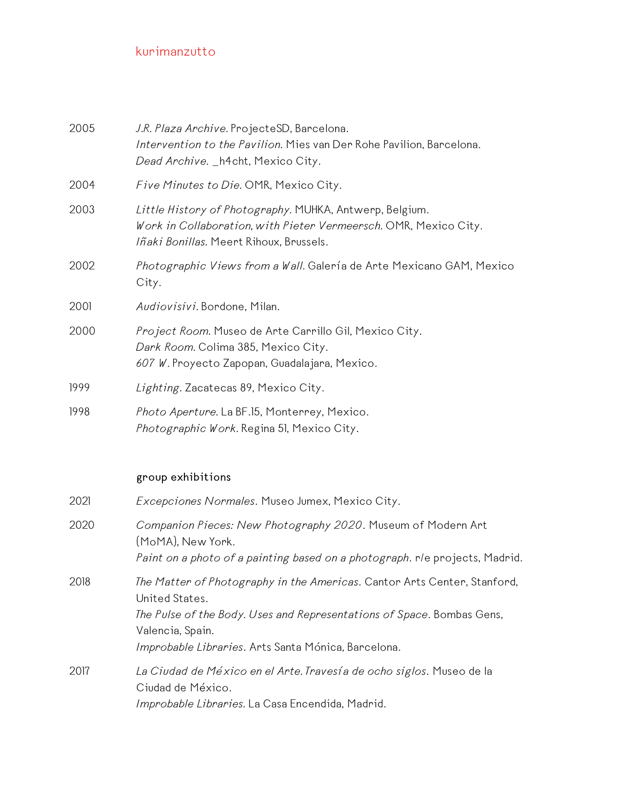| 2005 | J.R. Plaza Archive. ProjecteSD, Barcelona.<br>Intervention to the Pavilion. Mies van Der Rohe Pavilion, Barcelona.<br>Dead Archive. _ h4cht, Mexico City.                                                                                       |
|------|-------------------------------------------------------------------------------------------------------------------------------------------------------------------------------------------------------------------------------------------------|
| 2004 | Five Minutes to Die. OMR, Mexico City.                                                                                                                                                                                                          |
| 2003 | Little History of Photography. MUHKA, Antwerp, Belgium.<br>Work in Collaboration, with Pieter Vermeersch. OMR, Mexico City.<br>Iñaki Bonillas. Meert Rihoux, Brussels.                                                                          |
| 2002 | Photographic Views from a Wall. Galería de Arte Mexicano GAM, Mexico<br>City.                                                                                                                                                                   |
| 2001 | Audiovisivi. Bordone, Milan.                                                                                                                                                                                                                    |
| 2000 | Project Room. Museo de Arte Carrillo Gil, Mexico City.<br>Dark Room. Colima 385, Mexico City.<br>607 W. Proyecto Zapopan, Guadalajara, Mexico.                                                                                                  |
| 1999 | Lighting. Zacatecas 89, Mexico City.                                                                                                                                                                                                            |
| 1998 | Photo Aperture. La BF.15, Monterrey, Mexico.<br>Photographic Work. Regina 51, Mexico City.                                                                                                                                                      |
|      | group exhibitions                                                                                                                                                                                                                               |
| 2021 | Excepciones Normales. Museo Jumex, Mexico City.                                                                                                                                                                                                 |
| 2020 | Companion Pieces: New Photography 2020. Museum of Modern Art<br>(MoMA), New York.<br>Paint on a photo of a painting based on a photograph. rle projects, Madrid.                                                                                |
| 2018 | The Matter of Photography in the Americas. Cantor Arts Center, Stanford,<br>United States.<br>The Pulse of the Body. Uses and Representations of Space. Bombas Gens,<br>Valencia, Spain.<br>Improbable Libraries. Arts Santa Mónica, Barcelona. |
| 2017 | La Ciudad de México en el Arte. Travesía de ocho siglos. Museo de la<br>Ciudad de México.<br>Improbable Libraries. La Casa Encendida, Madrid.                                                                                                   |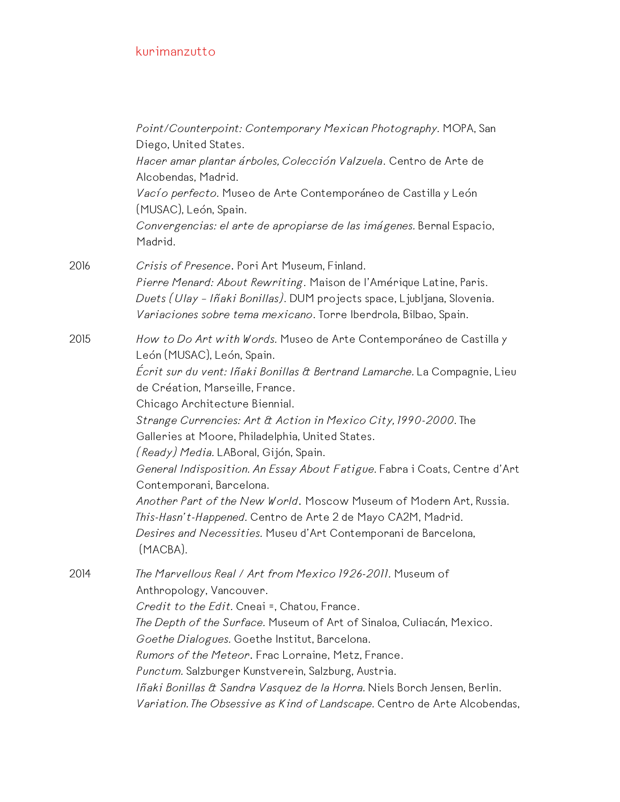|      | Point/Counterpoint: Contemporary Mexican Photography. MOPA, San<br>Diego, United States.                                                                                                                                                                            |
|------|---------------------------------------------------------------------------------------------------------------------------------------------------------------------------------------------------------------------------------------------------------------------|
|      | Hacer amar plantar árboles, Colección Valzuela. Centro de Arte de<br>Alcobendas, Madrid.                                                                                                                                                                            |
|      | Vacío perfecto. Museo de Arte Contemporáneo de Castilla y León<br>(MUSAC), León, Spain.                                                                                                                                                                             |
|      | Convergencias: el arte de apropiarse de las imágenes. Bernal Espacio,<br>Madrid.                                                                                                                                                                                    |
| 2016 | Crisis of Presence. Pori Art Museum, Finland.<br>Pierre Menard: About Rewriting. Maison de l'Amérique Latine, Paris.<br>Duets (Ulay - Iñaki Bonillas). DUM projects space, Ljubljana, Slovenia.<br>Variaciones sobre tema mexicano. Torre Iberdrola, Bilbao, Spain. |
| 2015 | How to Do Art with Words. Museo de Arte Contemporáneo de Castilla y<br>León (MUSAC), León, Spain.<br>Écrit sur du vent: Iñaki Bonillas & Bertrand Lamarche. La Compagnie, Lieu                                                                                      |
|      | de Création, Marseille, France.<br>Chicago Architecture Biennial.                                                                                                                                                                                                   |
|      | Strange Currencies: Art & Action in Mexico City, 1990-2000. The<br>Galleries at Moore, Philadelphia, United States.                                                                                                                                                 |
|      | <i>(Ready) Media.</i> LABoral, Gijón, Spain.<br>General Indisposition. An Essay About Fatigue. Fabra i Coats, Centre d'Art<br>Contemporani, Barcelona.                                                                                                              |
|      | Another Part of the New World. Moscow Museum of Modern Art, Russia.<br>This-Hasn't-Happened. Centro de Arte 2 de Mayo CA2M, Madrid.                                                                                                                                 |
|      | Desires and Necessities. Museu d'Art Contemporani de Barcelona,<br>(MACBA).                                                                                                                                                                                         |
| 2014 | The Marvellous Real / Art from Mexico 1926-2011. Museum of<br>Anthropology, Vancouver.                                                                                                                                                                              |
|      | Credit to the Edit. Cneai =, Chatou, France.                                                                                                                                                                                                                        |
|      | The Depth of the Surface. Museum of Art of Sinaloa, Culiacán, Mexico.                                                                                                                                                                                               |
|      | Goethe Dialogues. Goethe Institut, Barcelona.                                                                                                                                                                                                                       |
|      | Rumors of the Meteor. Frac Lorraine, Metz, France.                                                                                                                                                                                                                  |
|      | Punctum. Salzburger Kunstverein, Salzburg, Austria.                                                                                                                                                                                                                 |
|      | Iñaki Bonillas & Sandra Vasquez de la Horra. Niels Borch Jensen, Berlin.<br>Variation. The Obsessive as Kind of Landscape. Centro de Arte Alcobendas,                                                                                                               |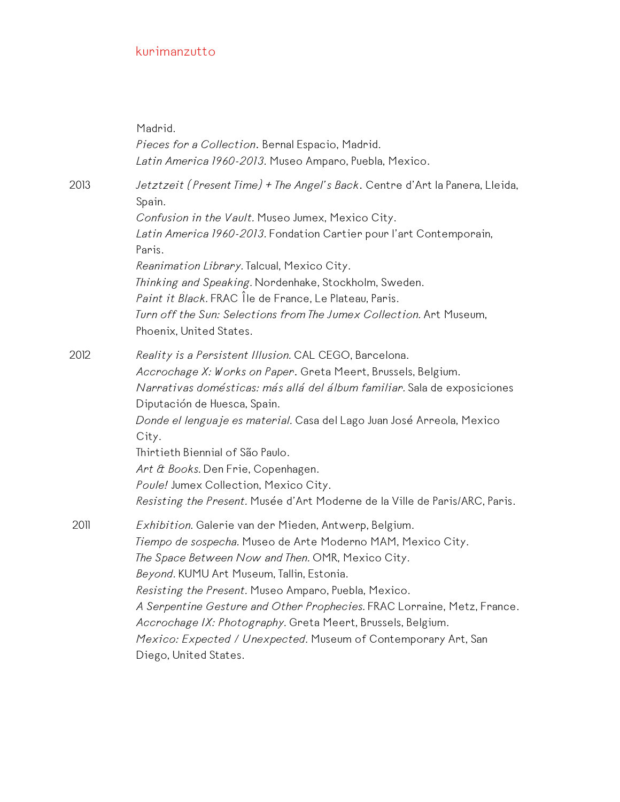|      | Madrid.<br>Pieces for a Collection. Bernal Espacio, Madrid.<br>Latin America 1960-2013. Museo Amparo, Puebla, Mexico.                                                                                                                                                                                                                                                                                                                                                                                                    |
|------|--------------------------------------------------------------------------------------------------------------------------------------------------------------------------------------------------------------------------------------------------------------------------------------------------------------------------------------------------------------------------------------------------------------------------------------------------------------------------------------------------------------------------|
| 2013 | Jetztzeit (Present Time) + The Angel's Back. Centre d'Art la Panera, Lleida,<br>Spain.<br>Confusion in the Vault. Museo Jumex, Mexico City.<br>Latin America 1960-2013. Fondation Cartier pour l'art Contemporain,<br>Paris.<br>Reanimation Library. Talcual, Mexico City.<br>Thinking and Speaking. Nordenhake, Stockholm, Sweden.<br>Paint it Black. FRAC Île de France, Le Plateau, Paris.<br>Turn off the Sun: Selections from The Jumex Collection. Art Museum,<br>Phoenix, United States.                          |
| 2012 | Reality is a Persistent Illusion. CAL CEGO, Barcelona.<br>Accrochage X: Works on Paper. Greta Meert, Brussels, Belgium.<br>Narrativas domésticas: más allá del álbum familiar. Sala de exposiciones<br>Diputación de Huesca, Spain.<br>Donde el lenguaje es material. Casa del Lago Juan José Arreola, Mexico<br>City.<br>Thirtieth Biennial of São Paulo.<br>Art & Books. Den Frie, Copenhagen.<br>Poule! Jumex Collection, Mexico City.<br>Resisting the Present. Musée d'Art Moderne de la Ville de Paris/ARC, Paris. |
| 2011 | Exhibition. Galerie van der Mieden, Antwerp, Belgium.<br>Tiempo de sospecha. Museo de Arte Moderno MAM, Mexico City.<br>The Space Between Now and Then. OMR, Mexico City.<br>Beyond. KUMU Art Museum, Tallin, Estonia.<br>Resisting the Present. Museo Amparo, Puebla, Mexico.<br>A Serpentine Gesture and Other Prophecies. FRAC Lorraine, Metz, France.<br>Accrochage IX: Photography. Greta Meert, Brussels, Belgium.<br>Mexico: Expected / Unexpected. Museum of Contemporary Art, San<br>Diego, United States.      |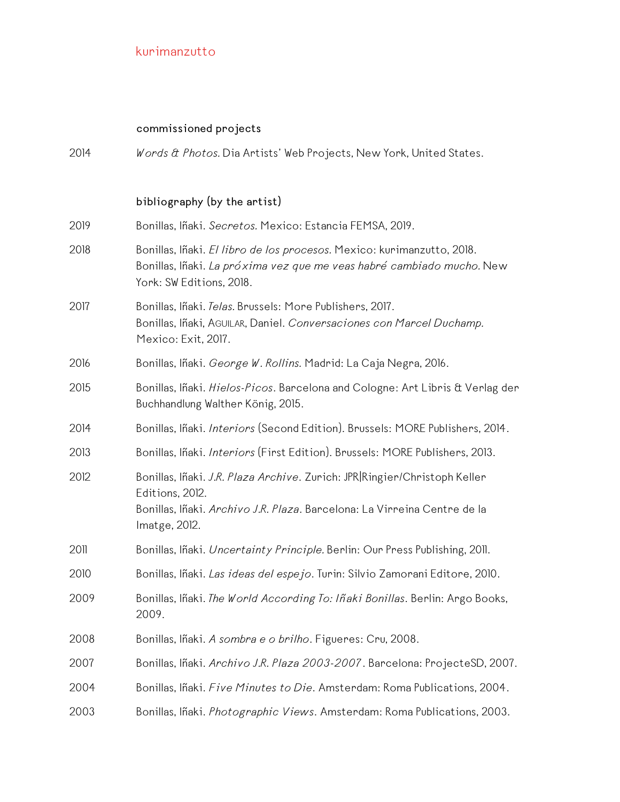## **commissioned projects**

| 2014 | Words & Photos. Dia Artists' Web Projects, New York, United States.                                                                                                                       |
|------|-------------------------------------------------------------------------------------------------------------------------------------------------------------------------------------------|
|      | bibliography (by the artist)                                                                                                                                                              |
| 2019 | Bonillas, Iñaki. Secretos. Mexico: Estancia FEMSA, 2019.                                                                                                                                  |
| 2018 | Bonillas, Iñaki. El libro de los procesos. Mexico: kurimanzutto, 2018.<br>Bonillas, Iñaki. La próxima vez que me veas habré cambiado mucho. New<br>York: SW Editions, 2018.               |
| 2017 | Bonillas, Iñaki. Telas. Brussels: More Publishers, 2017.<br>Bonillas, Iñaki, AGUILAR, Daniel. Conversaciones con Marcel Duchamp.<br>Mexico: Exit, 2017.                                   |
| 2016 | Bonillas, Iñaki. George W. Rollins. Madrid: La Caja Negra, 2016.                                                                                                                          |
| 2015 | Bonillas, Iñaki. Hielos-Picos. Barcelona and Cologne: Art Libris & Verlag der<br>Buchhandlung Walther König, 2015.                                                                        |
| 2014 | Bonillas, Iñaki. Interiors (Second Edition). Brussels: MORE Publishers, 2014.                                                                                                             |
| 2013 | Bonillas, Iñaki. Interiors (First Edition). Brussels: MORE Publishers, 2013.                                                                                                              |
| 2012 | Bonillas, Iñaki. J.R. Plaza Archive. Zurich: JPR Ringier/Christoph Keller<br>Editions, 2012.<br>Bonillas, Iñaki. Archivo J.R. Plaza. Barcelona: La Virreina Centre de la<br>Imatge, 2012. |
| 2011 | Bonillas, Iñaki. Uncertainty Principle. Berlin: Our Press Publishing, 2011.                                                                                                               |
| 2010 | Bonillas, Iñaki. Las ideas del espejo. Turin: Silvio Zamorani Editore, 2010.                                                                                                              |
| 2009 | Bonillas, Iñaki. The World According To: Iñaki Bonillas. Berlin: Argo Books,<br>2009.                                                                                                     |
| 2008 | Bonillas, Iñaki. A sombra e o brilho. Figueres: Cru, 2008.                                                                                                                                |
| 2007 | Bonillas, Iñaki. Archivo J.R. Plaza 2003-2007. Barcelona: ProjecteSD, 2007.                                                                                                               |
| 2004 | Bonillas, Iñaki. Five Minutes to Die. Amsterdam: Roma Publications, 2004.                                                                                                                 |
| 2003 | Bonillas, Iñaki. Photographic Views. Amsterdam: Roma Publications, 2003.                                                                                                                  |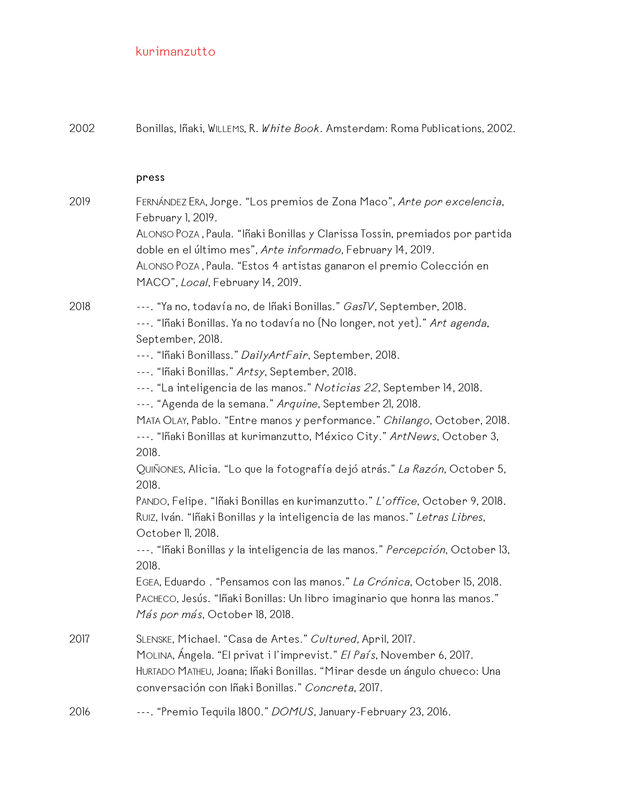| 2002 | Bonillas, Iñaki, WILLEMS, R. White Book. Amsterdam: Roma Publications, 2002.                                                                                                                                                                                                                                                                                                                                                                                                                                                                                                                                                                                                                                                                                                                                                                                                                                                                                                                                                                                                                                                                          |
|------|-------------------------------------------------------------------------------------------------------------------------------------------------------------------------------------------------------------------------------------------------------------------------------------------------------------------------------------------------------------------------------------------------------------------------------------------------------------------------------------------------------------------------------------------------------------------------------------------------------------------------------------------------------------------------------------------------------------------------------------------------------------------------------------------------------------------------------------------------------------------------------------------------------------------------------------------------------------------------------------------------------------------------------------------------------------------------------------------------------------------------------------------------------|
|      | press                                                                                                                                                                                                                                                                                                                                                                                                                                                                                                                                                                                                                                                                                                                                                                                                                                                                                                                                                                                                                                                                                                                                                 |
| 2019 | FERNÁNDEZ ERA, Jorge. "Los premios de Zona Maco", Arte por excelencia,<br>February 1, 2019.<br>ALONSO POZA, Paula. "Iñaki Bonillas y Clarissa Tossin, premiados por partida<br>doble en el último mes", Arte informado, February 14, 2019.<br>ALONSO POZA, Paula. "Estos 4 artistas ganaron el premio Colección en<br>MACO", Local, February 14, 2019.                                                                                                                                                                                                                                                                                                                                                                                                                                                                                                                                                                                                                                                                                                                                                                                                |
| 2018 | ---. "Ya no, todavía no, de Iñaki Bonillas." GasTV, September, 2018.<br>---. "Iñaki Bonillas. Ya no todavía no (No longer, not yet)." Art agenda,<br>September, 2018.<br>---. "Iñaki Bonillass." Daily Art Fair, September, 2018.<br>---. "Iñaki Bonillas." Artsy, September, 2018.<br>---. "La inteligencia de las manos." Noticias 22, September 14, 2018.<br>---. "Agenda de la semana." Arquine, September 21, 2018.<br>MATA OLAY, Pablo. "Entre manos y performance." Chilango, October, 2018.<br>---. "Iñaki Bonillas at kurimanzutto, México City." ArtNews, October 3,<br>2018.<br>QUIÑONES, Alicia. "Lo que la fotografía dejó atrás." La Razón, October 5,<br>2018.<br>PANDO, Felipe. "Iñaki Bonillas en kurimanzutto." L'office, October 9, 2018.<br>RUIZ, Iván. "Iñaki Bonillas y la inteligencia de las manos." Letras Libres,<br>October II, 2018.<br>---. "Iñaki Bonillas y la inteligencia de las manos." Percepción, October 13,<br>2018.<br>EGEA, Eduardo . "Pensamos con las manos." La Crónica, October 15, 2018.<br>PACHECO, Jesús. "Iñaki Bonillas: Un libro imaginario que honra las manos."<br>Más por más, October 18, 2018. |
| 2017 | SLENSKE, Michael. "Casa de Artes." Cultured, April, 2017.<br>MOLINA, Ángela. "El privat i l'imprevist." El País, November 6, 2017.<br>HURTADO MATHEU, Joana; Iñaki Bonillas. "Mirar desde un ángulo chueco: Una<br>conversación con Iñaki Bonillas." Concreta, 2017.                                                                                                                                                                                                                                                                                                                                                                                                                                                                                                                                                                                                                                                                                                                                                                                                                                                                                  |
| 2016 | ---. "Premio Tequila 1800." DOMUS, January-February 23, 2016.                                                                                                                                                                                                                                                                                                                                                                                                                                                                                                                                                                                                                                                                                                                                                                                                                                                                                                                                                                                                                                                                                         |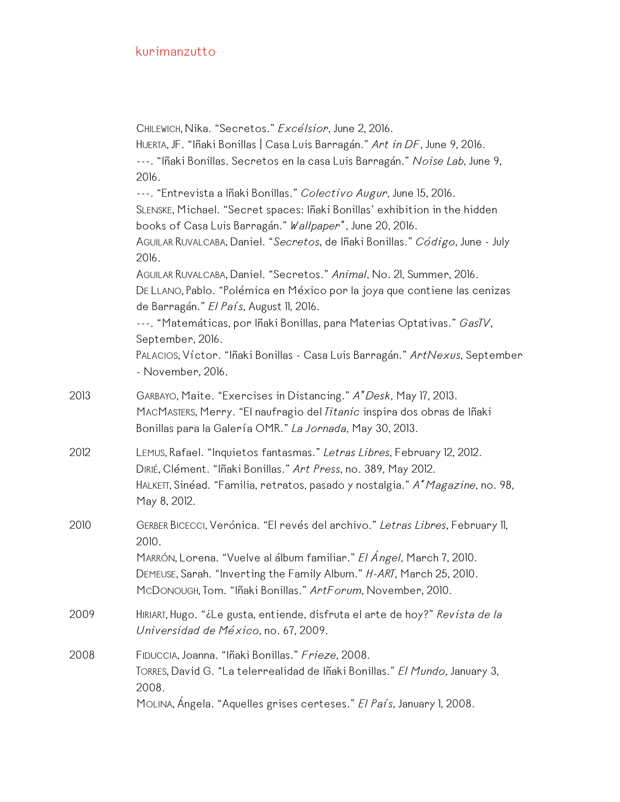CHILEWICH, Nika. "Secretos." *Excélsior*, June 2, 2016. HUERTA, JF. "Iñaki Bonillas | Casa Luis Barragán." *Art in DF*, June 9, 2016. ---. "Iñaki Bonillas. Secretos en la casa Luis Barragán." *Noise Lab*, June 9, 2016. ---. "Entrevista a Iñaki Bonillas." *Colectivo Augur*, June 15, 2016. SLENSKE, Michael. "Secret spaces: Iñaki Bonillas' exhibition in the hidden books of Casa Luis Barragán." *Wallpaper\**, June 20, 2016. AGUILAR RUVALCABA, Daniel. "*Secretos*, de Iñaki Bonillas." *Código*, June - July 2016. AGUILAR RUVALCABA, Daniel. "Secretos." *Animal*, No. 21, Summer, 2016. DE LLANO, Pablo. "Polémica en México por la joya que contiene las cenizas de Barragán." *El País*, August 11, 2016. ---. "Matemáticas, por Iñaki Bonillas, para Materias Optativas." *GasTV*, September, 2016. PALACIOS, Víctor. "Iñaki Bonillas - Casa Luis Barragán." *ArtNexus*, September - November, 2016. 2013 GARBAYO, Maite. "Exercises in Distancing." *A\*Desk*, May 17, 2013. MACMASTERS, Merry. "El naufragio del *Titanic* inspira dos obras de Iñaki Bonillas para la Galería OMR." *La Jornada*, May 30, 2013. 2012 LEMUS, Rafael. "Inquietos fantasmas." *Letras Libres*, February 12, 2012. DIRIÉ, Clément. "Iñaki Bonillas." *Art Press*, no. 389, May 2012. HALKETT, Sinéad. "Familia, retratos, pasado y nostalgia." *A\*Magazine*, no. 98, May 8, 2012. 2010 GERBER BICECCI, Verónica. "El revés del archivo." *Letras Libres*, February 11, 2010. MARRÓN, Lorena. "Vuelve al álbum familiar." *El Ángel*, March 7, 2010. DEMEUSE, Sarah. "Inverting the Family Album." *H-ART*, March 25, 2010. MCDONOUGH, Tom. "Iñaki Bonillas." *ArtForum*, November, 2010. 2009 HIRIART, Hugo. "¿Le gusta, entiende, disfruta el arte de hoy?" *Revista de la Universidad de México*, no. 67, 2009. 2008 FIDUCCIA, Joanna. "Iñaki Bonillas." *Frieze*, 2008. TORRES, David G. "La telerrealidad de Iñaki Bonillas." *El Mundo*, January 3, 2008. MOLINA, Ángela. "Aquelles grises certeses." *El País*, January 1, 2008.